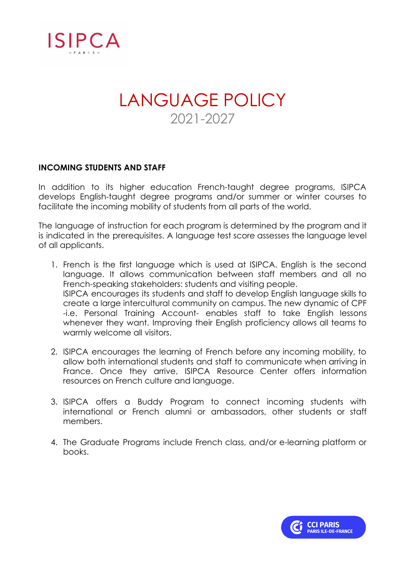

## LANGUAGE POLICY 2021-2027

## **INCOMING STUDENTS AND STAFF**

In addition to its higher education French-taught degree programs, ISIPCA develops English-taught degree programs and/or summer or winter courses to facilitate the incoming mobility of students from all parts of the world.

The language of instruction for each program is determined by the program and it is indicated in the prerequisites. A language test score assesses the language level of all applicants.

- 1. French is the first language which is used at ISIPCA. English is the second language. It allows communication between staff members and all no French-speaking stakeholders: students and visiting people. ISIPCA encourages its students and staff to develop English language skills to create a large intercultural community on campus. The new dynamic of CPF -i.e. Personal Training Account- enables staff to take English lessons whenever they want. Improving their English proficiency allows all teams to warmly welcome all visitors.
- 2. ISIPCA encourages the learning of French before any incoming mobility, to allow both international students and staff to communicate when arriving in France. Once they arrive, ISIPCA Resource Center offers information resources on French culture and language.
- 3. ISIPCA offers a Buddy Program to connect incoming students with international or French alumni or ambassadors, other students or staff members.
- 4. The Graduate Programs include French class, and/or e-learning platform or books.